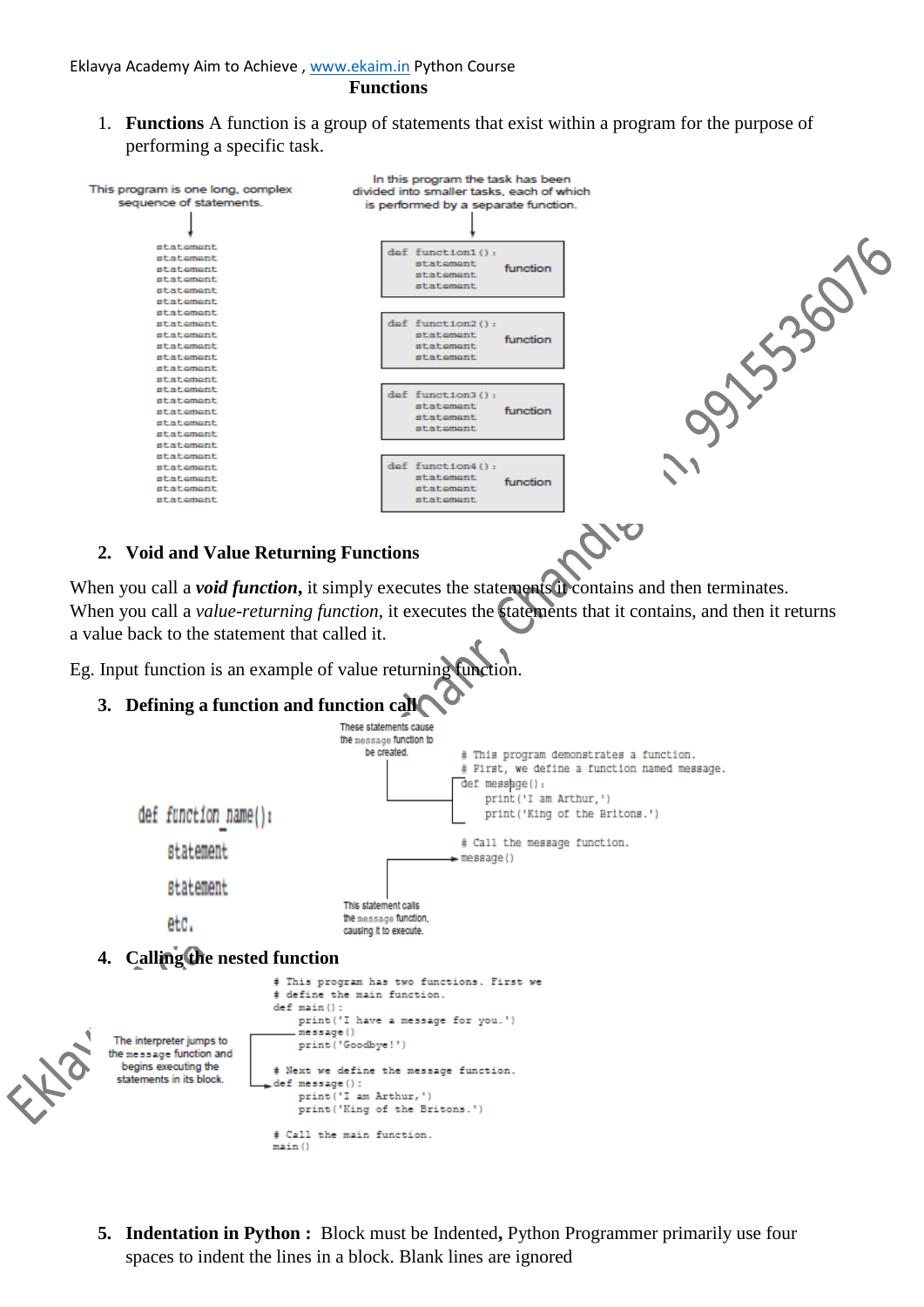- **Functions**
- 1. **Functions** A function is a group of statements that exist within a program for the purpose of performing a specific task.



**5. Indentation in Python :** Block must be Indented**,** Python Programmer primarily use four spaces to indent the lines in a block. Blank lines are ignored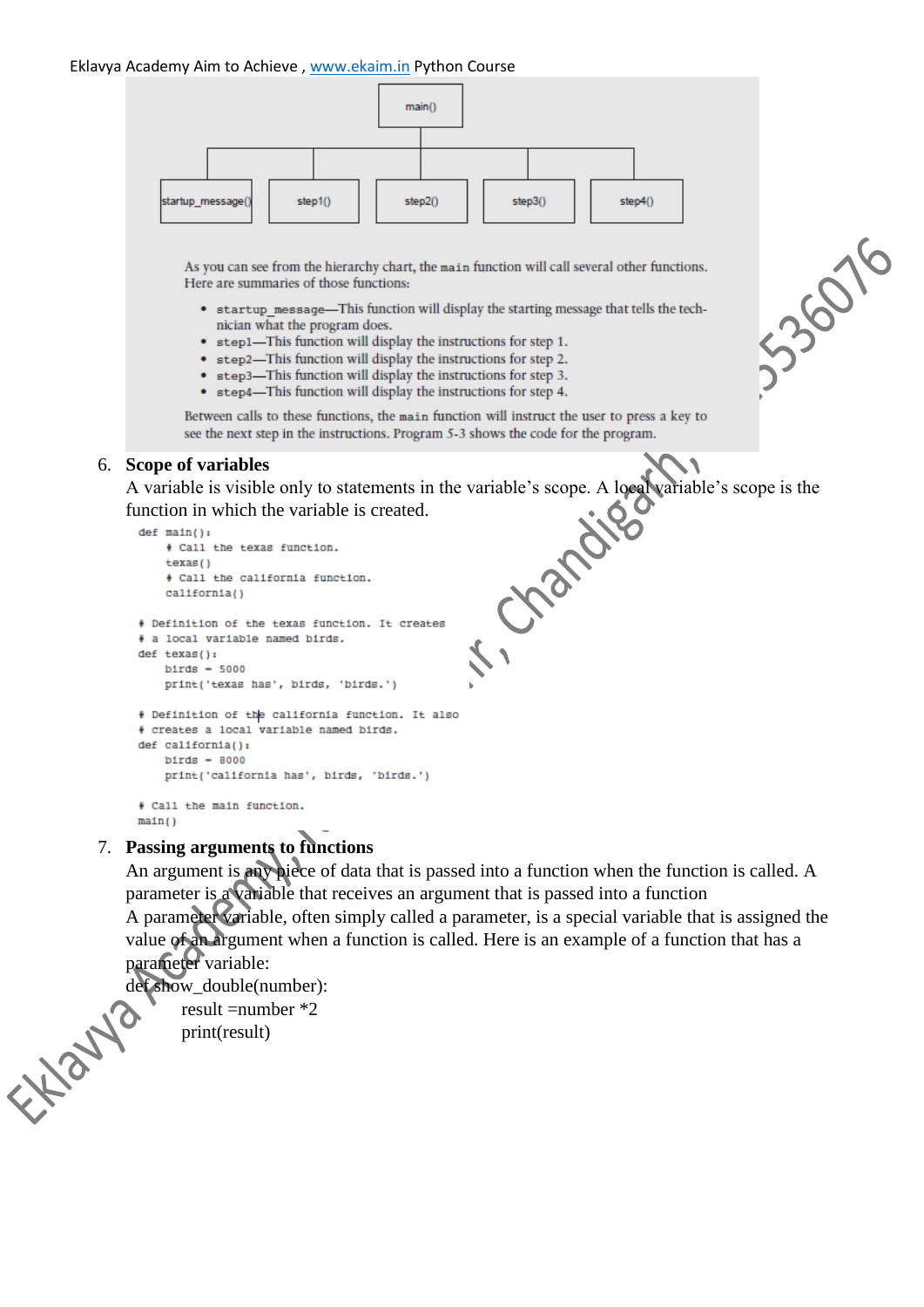#### Eklavya Academy Aim to Achieve , [www.ekaim.in](http://www.ekaim.in/) Python Course



As you can see from the hierarchy chart, the main function will call several other functions. Here are summaries of those functions:

- startup message—This function will display the starting message that tells the technician what the program does.
- step1-This function will display the instructions for step 1.
- step2-This function will display the instructions for step 2.
- step3-This function will display the instructions for step 3.
- step4-This function will display the instructions for step 4.

Between calls to these functions, the main function will instruct the user to press a key to see the next step in the instructions. Program 5-3 shows the code for the program.

#### 6. **Scope of variables**

A variable is visible only to statements in the variable's scope. A local variable's scope is the function in which the variable is created.

```
# a local variable named birds.
def texas():
   bitds = 5000print('texas has', birds, 'birds.')
# Definition of the california function. It also
# creates a local variable named birds.
def california():
   bitds = 8000print('california has', birds, 'birds.')
+ Call the main function.
main()
```
### 7. **Passing arguments to functions**

An argument is any piece of data that is passed into a function when the function is called. A parameter is a variable that receives an argument that is passed into a function A parameter variable, often simply called a parameter, is a special variable that is assigned the value of an argument when a function is called. Here is an example of a function that has a parameter variable:

det show\_double(number):<br>result =number \*2<br>print(result) result =number \*2 print(result)

335076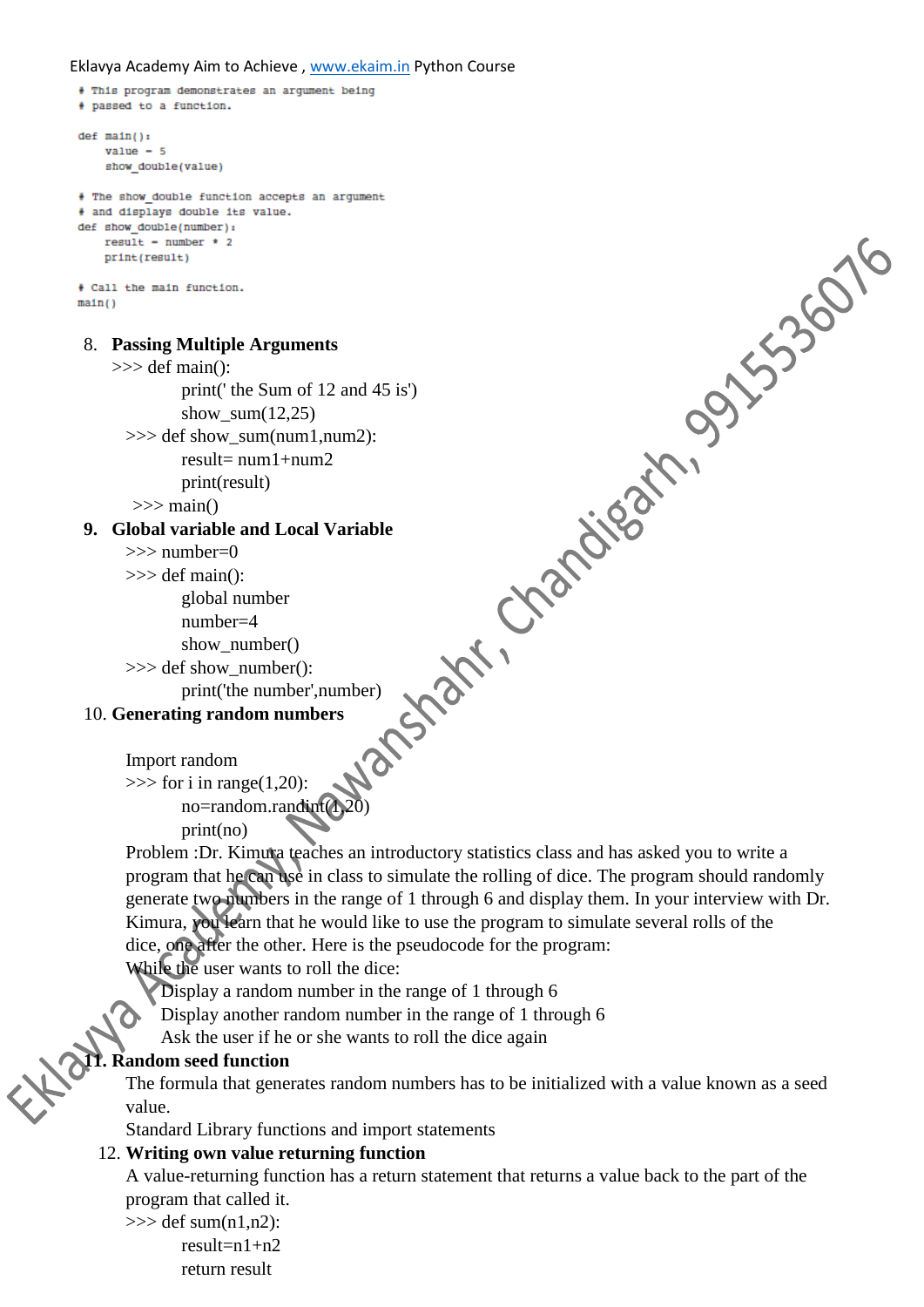## Eklavya Academy Aim to Achieve, [www.ekaim.in](http://www.ekaim.in/) Python Course

```
# This program demonstrates an argument being
  # passed to a function.
  def \ \nmin() :value = 5show double(value)
                  where \frac{1}{2}<br>
\frac{1}{2}<br>
\frac{1}{2}<br>
\frac{1}{2}<br>
\frac{1}{2}<br>
\frac{1}{2}<br>
\frac{1}{2}<br>
\frac{1}{2}<br>
\frac{1}{2}<br>
\frac{1}{2}<br>
\frac{1}{2}<br>
\frac{1}{2}<br>
\frac{1}{2}<br>
\frac{1}{2}<br>
\frac{1}{2}<br>
\frac{1}{2}<br>
\frac{1}{2}<br>
\frac{1}{2}<br>
\frac{1}{2}<br>
\frac{1}{# The show double function accepts an argument
  # and displays double its value.
  def show double(number):
      result - number * 2print(result)
  + Call the main function.
  main()8. Passing Multiple Arguments
       \gg def main():
                  show sum(12,25)\gg def show_sum(num1.num2):
                  result = num1 + num2print(result)
          \gg main()
   9. Global variable and Local Variable
         >>> number=0
         \gg def main():
                  global number
                  number=4
                  show_number()
         >>> def show_number():
                  print('the number',number)
   10. Generating random numbers
         Import random
         \gg for i in range(1,20):
                  no=random.randint(1,20)
                  print(no)
         Problem :Dr. Kimura teaches an introductory statistics class and has asked you to write a 
         program that he can use in class to simulate the rolling of dice. The program should randomly 
         generate two numbers in the range of 1 through 6 and display them. In your interview with Dr.
         Kimura, you learn that he would like to use the program to simulate several rolls of the
         dice, one after the other. Here is the pseudocode for the program:
         While the user wants to roll the dice:
             Display a random number in the range of 1 through 6
              Display another random number in the range of 1 through 6
              Ask the user if he or she wants to roll the dice again
11. Random seed function
         The formula that generates random numbers has to be initialized with a value known as a seed 
         value.
```
Standard Library functions and import statements

## 12. **Writing own value returning function**

A value-returning function has a return statement that returns a value back to the part of the program that called it.

```
\gg def sum(n1,n2):
      result=n1+n2return result
```